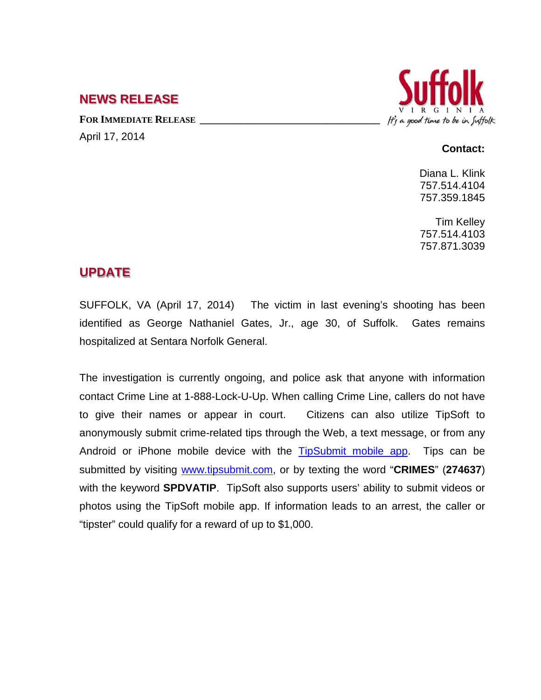## **NEWS RELEASE**

FOR **IMMEDIATE RELEASE** April 17, 2014



## **Contact:**

Diana L. Klink 757.514.4104 757.359.1845

Tim Kelley 757.514.4103 757.871.3039

## **UPDATE**

SUFFOLK, VA (April 17, 2014) The victim in last evening's shooting has been identified as George Nathaniel Gates, Jr., age 30, of Suffolk. Gates remains hospitalized at Sentara Norfolk General.

The investigation is currently ongoing, and police ask that anyone with information contact Crime Line at 1-888-Lock-U-Up. When calling Crime Line, callers do not have to give their names or appear in court. Citizens can also utilize TipSoft to anonymously submit crime-related tips through the Web, a text message, or from any Android or iPhone mobile device with the [TipSubmit mobile app.](http://www.tipsoft.com/index.asp?P=TipSubmitMobile) Tips can be submitted by visiting [www.tipsubmit.com,](http://www.tipsubmit.com/) or by texting the word "**CRIMES**" (**274637**) with the keyword **SPDVATIP**. TipSoft also supports users' ability to submit videos or photos using the TipSoft mobile app. If information leads to an arrest, the caller or "tipster" could qualify for a reward of up to \$1,000.